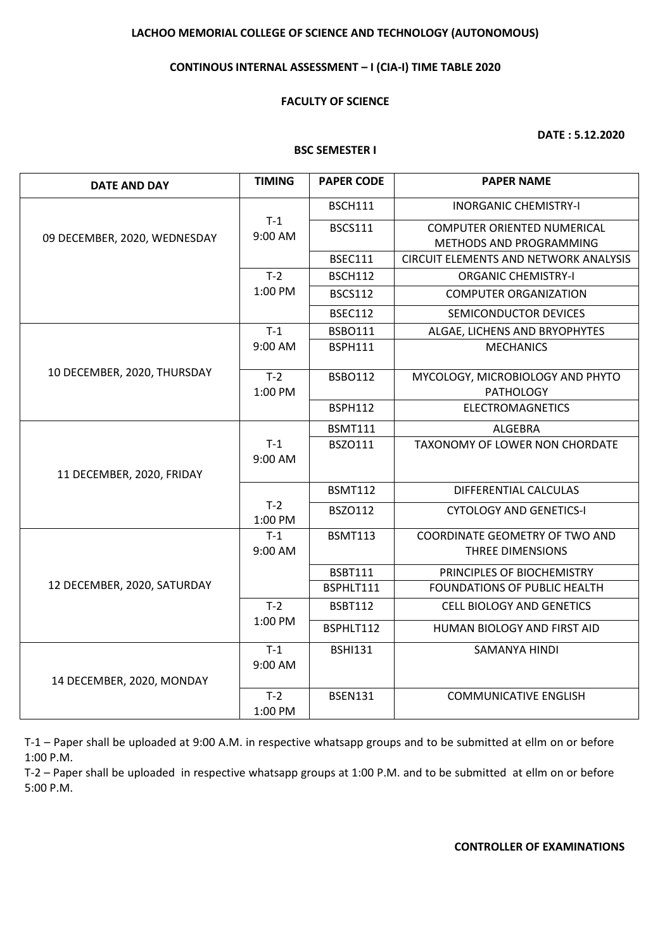# **LACHOO MEMORIAL COLLEGE OF SCIENCE AND TECHNOLOGY (AUTONOMOUS)**

## **CONTINOUS INTERNAL ASSESSMENT – I (CIA-I) TIME TABLE 2020**

## **FACULTY OF SCIENCE**

**DATE : 5.12.2020**

### **BSC SEMESTER I**

| <b>DATE AND DAY</b>          | <b>TIMING</b>    | <b>PAPER CODE</b> | <b>PAPER NAME</b>                            |
|------------------------------|------------------|-------------------|----------------------------------------------|
| 09 DECEMBER, 2020, WEDNESDAY | $T-1$<br>9:00 AM | <b>BSCH111</b>    | <b>INORGANIC CHEMISTRY-I</b>                 |
|                              |                  | <b>BSCS111</b>    | <b>COMPUTER ORIENTED NUMERICAL</b>           |
|                              |                  |                   | METHODS AND PROGRAMMING                      |
|                              |                  | <b>BSEC111</b>    | <b>CIRCUIT ELEMENTS AND NETWORK ANALYSIS</b> |
|                              | $T-2$            | <b>BSCH112</b>    | <b>ORGANIC CHEMISTRY-I</b>                   |
|                              | 1:00 PM          | <b>BSCS112</b>    | <b>COMPUTER ORGANIZATION</b>                 |
|                              |                  | <b>BSEC112</b>    | SEMICONDUCTOR DEVICES                        |
|                              | $T-1$            | <b>BSBO111</b>    | ALGAE, LICHENS AND BRYOPHYTES                |
|                              | 9:00 AM          | <b>BSPH111</b>    | <b>MECHANICS</b>                             |
| 10 DECEMBER, 2020, THURSDAY  | $T-2$            | <b>BSBO112</b>    | MYCOLOGY, MICROBIOLOGY AND PHYTO             |
|                              | 1:00 PM          |                   | <b>PATHOLOGY</b>                             |
|                              |                  | <b>BSPH112</b>    | <b>ELECTROMAGNETICS</b>                      |
|                              |                  | <b>BSMT111</b>    | <b>ALGEBRA</b>                               |
|                              | $T-1$            | BSZ0111           | TAXONOMY OF LOWER NON CHORDATE               |
| 11 DECEMBER, 2020, FRIDAY    | 9:00 AM          |                   |                                              |
|                              |                  |                   |                                              |
|                              | $T-2$            | <b>BSMT112</b>    | DIFFERENTIAL CALCULAS                        |
|                              | 1:00 PM          | BSZO112           | <b>CYTOLOGY AND GENETICS-I</b>               |
| 12 DECEMBER, 2020, SATURDAY  | $T-1$            | <b>BSMT113</b>    | COORDINATE GEOMETRY OF TWO AND               |
|                              | 9:00 AM          |                   | THREE DIMENSIONS                             |
|                              |                  | <b>BSBT111</b>    | PRINCIPLES OF BIOCHEMISTRY                   |
|                              |                  | BSPHLT111         | <b>FOUNDATIONS OF PUBLIC HEALTH</b>          |
|                              | $T-2$<br>1:00 PM | <b>BSBT112</b>    | <b>CELL BIOLOGY AND GENETICS</b>             |
|                              |                  | BSPHLT112         | HUMAN BIOLOGY AND FIRST AID                  |
| 14 DECEMBER, 2020, MONDAY    | $T-1$            | <b>BSHI131</b>    | SAMANYA HINDI                                |
|                              | 9:00 AM          |                   |                                              |
|                              |                  |                   |                                              |
|                              | $T-2$            | <b>BSEN131</b>    | <b>COMMUNICATIVE ENGLISH</b>                 |
|                              | 1:00 PM          |                   |                                              |

T-1 – Paper shall be uploaded at 9:00 A.M. in respective whatsapp groups and to be submitted at ellm on or before 1:00 P.M.

T-2 – Paper shall be uploaded in respective whatsapp groups at 1:00 P.M. and to be submitted at ellm on or before 5:00 P.M.

# **CONTROLLER OF EXAMINATIONS**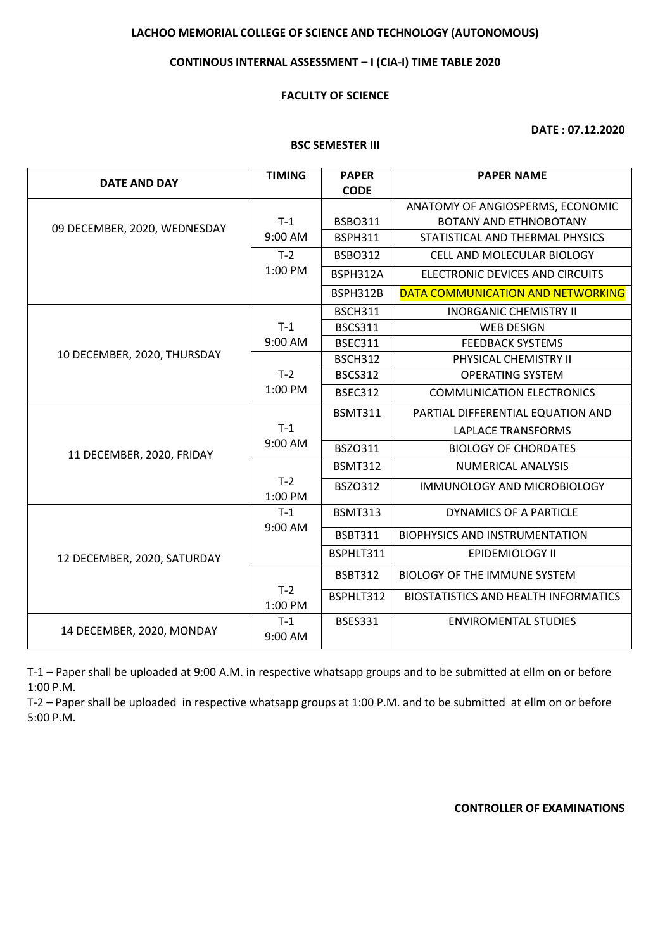# **LACHOO MEMORIAL COLLEGE OF SCIENCE AND TECHNOLOGY (AUTONOMOUS)**

# **CONTINOUS INTERNAL ASSESSMENT – I (CIA-I) TIME TABLE 2020**

## **FACULTY OF SCIENCE**

**DATE : 07.12.2020**

### **BSC SEMESTER III**

| DATE AND DAY                 | <b>TIMING</b>    | <b>PAPER</b><br><b>CODE</b> | <b>PAPER NAME</b>                                                 |
|------------------------------|------------------|-----------------------------|-------------------------------------------------------------------|
|                              |                  |                             |                                                                   |
| 09 DECEMBER, 2020, WEDNESDAY | $T-1$            | <b>BSBO311</b>              | ANATOMY OF ANGIOSPERMS, ECONOMIC<br><b>BOTANY AND ETHNOBOTANY</b> |
|                              | 9:00 AM          | <b>BSPH311</b>              | STATISTICAL AND THERMAL PHYSICS                                   |
|                              | $T-2$            | <b>BSBO312</b>              | CELL AND MOLECULAR BIOLOGY                                        |
|                              | 1:00 PM          |                             |                                                                   |
|                              |                  | BSPH312A                    | ELECTRONIC DEVICES AND CIRCUITS                                   |
|                              |                  | BSPH312B                    | DATA COMMUNICATION AND NETWORKING                                 |
|                              |                  | <b>BSCH311</b>              | <b>INORGANIC CHEMISTRY II</b>                                     |
|                              | $T-1$            | <b>BSCS311</b>              | <b>WEB DESIGN</b>                                                 |
|                              | 9:00 AM          | <b>BSEC311</b>              | <b>FEEDBACK SYSTEMS</b>                                           |
| 10 DECEMBER, 2020, THURSDAY  |                  | <b>BSCH312</b>              | PHYSICAL CHEMISTRY II                                             |
|                              | $T-2$            | <b>BSCS312</b>              | <b>OPERATING SYSTEM</b>                                           |
|                              | 1:00 PM          | <b>BSEC312</b>              | <b>COMMUNICATION ELECTRONICS</b>                                  |
| 11 DECEMBER, 2020, FRIDAY    |                  | <b>BSMT311</b>              | PARTIAL DIFFERENTIAL EQUATION AND                                 |
|                              | $T-1$            |                             | <b>LAPLACE TRANSFORMS</b>                                         |
|                              | 9:00 AM          | BSZO311                     | <b>BIOLOGY OF CHORDATES</b>                                       |
|                              |                  | <b>BSMT312</b>              | <b>NUMERICAL ANALYSIS</b>                                         |
|                              | $T-2$<br>1:00 PM | <b>BSZO312</b>              | <b>IMMUNOLOGY AND MICROBIOLOGY</b>                                |
| 12 DECEMBER, 2020, SATURDAY  | $T-1$            | <b>BSMT313</b>              | <b>DYNAMICS OF A PARTICLE</b>                                     |
|                              | 9:00 AM          | <b>BSBT311</b>              | <b>BIOPHYSICS AND INSTRUMENTATION</b>                             |
|                              |                  | BSPHLT311                   | EPIDEMIOLOGY II                                                   |
|                              |                  | <b>BSBT312</b>              | BIOLOGY OF THE IMMUNE SYSTEM                                      |
|                              | $T-2$<br>1:00 PM | BSPHLT312                   | <b>BIOSTATISTICS AND HEALTH INFORMATICS</b>                       |
| 14 DECEMBER, 2020, MONDAY    | $T-1$<br>9:00 AM | <b>BSES331</b>              | <b>ENVIROMENTAL STUDIES</b>                                       |

T-1 – Paper shall be uploaded at 9:00 A.M. in respective whatsapp groups and to be submitted at ellm on or before 1:00 P.M.

T-2 – Paper shall be uploaded in respective whatsapp groups at 1:00 P.M. and to be submitted at ellm on or before 5:00 P.M.

**CONTROLLER OF EXAMINATIONS**